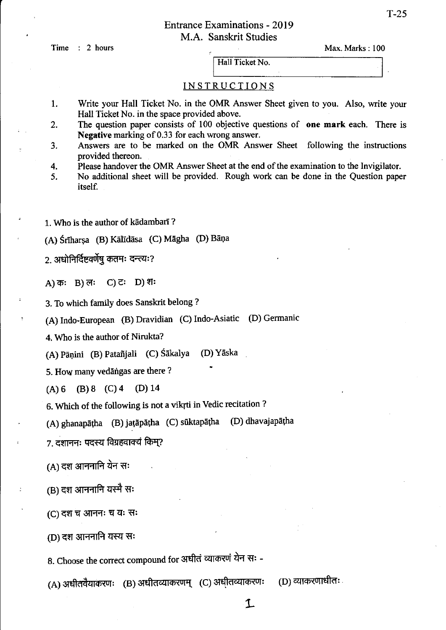### Entrance Examinations - 2019 M.A. Sanskrit Studies

Time : 2 hours

|                 | Max. Marks: 100 |  |  |  |
|-----------------|-----------------|--|--|--|
| Hall Ticket No. |                 |  |  |  |
|                 |                 |  |  |  |

#### INSTRUCTIONS

- 1. Write your Hall Ticket No. in the OMR Answer Sheet given to you. Also, write your Hall Ticket No. in the space provided above.
- 2. The question paper consists of 100 objective questions of one **mark** each. There is Negative marking of 0.33 for each wrong answer.
- 3. Answers are to be marked on the OMR Answer Sheet following the instructions provided thereon.
- 4. Please handover the OMR Answer Sheet at the end of the examination to the Invigilator.
- 5. No additional sheet will be provided. Rough work can be done in the Question paper itself.

1. Who is the author of kadambarI ?

## (A) Śrīharșa (B) Kālīdāsa (C) Māgha (D) Bāņa

2. अधोनिर्दिष्टवर्णेषु कतमः दन्त्यः?

A) कः B) लः C) टः D) शः

3. To which family does Sanskrit belong?

(A) Indo-European (B) Dravidian (C) Indo-Asiatic (D) Gennanic

4. Who is the author of Nirukta?

(A) Pānini (B) Patañjali (C) Śākalya (D) Yāska

5. How many vedangas are there?

 $(A) 6$  (B) 8 (C) 4 (D) 14

6. Which of the following is not a vikrti in Vedic recitation?

(A) ghanapāṭha (B) jaṭāpāṭha (C) sūktapāṭha (D) dhavajapāṭha

7. दशाननः पदस्य विग्रहवाक्यं किम्?

 $(A)$  दश आननानि येन सः

(B) दश आननानि यस्मै सः

(C) दश च आननः च यः सः

(D) दश आननानि यस्य सः

8. Choose the correct compound for अधीत व्याकरणं येन सः -

 $(A)$  अधीतवैयाकरणः ) (B) अधीतव्याकरणम् ) (C) अधीतव्याकरणः ) (D) व्याकरणाधीतः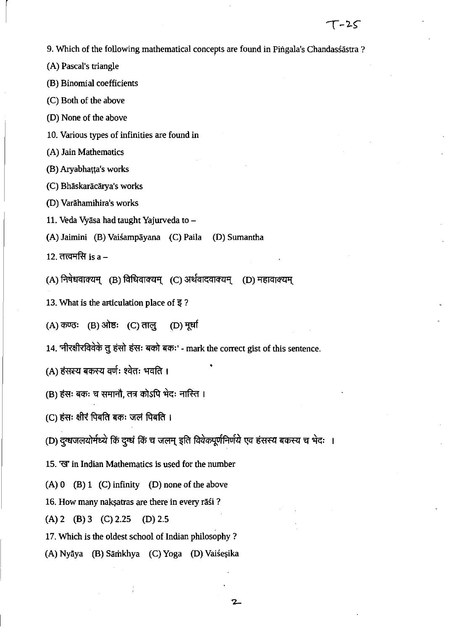9. Which of the following mathematical concepts are found in Pingala's Chandassastra ?

(A) Pascal's triangle

(B) Binomial coefficients

(C) Both of the above

(D) None of the above

10. Various types of infinities are found in

(A) Jain Mathematics

(B) Aryabhatta's works

(C) Bhāskarācārya's works

(D) Varaharnihira's works

11. Veda Vyāsa had taught Yajurveda to -

(A) Jaimini (B) Vaisampayana {C) Paila (D) Sumantha

12. तत्त्वमसि $is a -$ 

 $(A)$  निषेधवाक्यम् (B) विधिवाक्यम् (C) अर्थवादवाक्यम् (D) महावाक्यम्

13. What is the articulation place of  $\overline{\mathbf{z}}$  ?

(A) कण्ठः (B) ओष्ठः (C) तालु (D) मूर्धा

14. 'नीरक्षीरविवेके तु हंसो हंसः बको बकः' - mark the correct gist of this sentence.

(A) हंसस्य बकस्य वर्णः श्वेतः भवति ।

(B) हंसः बकः च समानौ, तत्र कोऽपि भेदः नास्ति ।

 $(C)$  हंसः क्षीरं पिबति बकः जलं पिबति ।

(D) दुग्धजलयोर्मध्ये किं दुग्धं किं च जलम् इति विवेकपूर्णनिर्णये एव हंसस्य बकस्य च भेदः ।

15. 'G' in Indian Mathematics is used for the number

(A)  $0$  (B)  $1$  (C) infinity (D) none of the above

16. How many nakṣatras are there in every rāśi ?

(A) 2 (B) 3 (C) 2.25 (D) 2.5

17. Which is the oldest school of Indian philosophy?

(A) Nyāya (B) Sāmkhya (C) Yoga (D) Vaisesika

 $\mathbf{z}$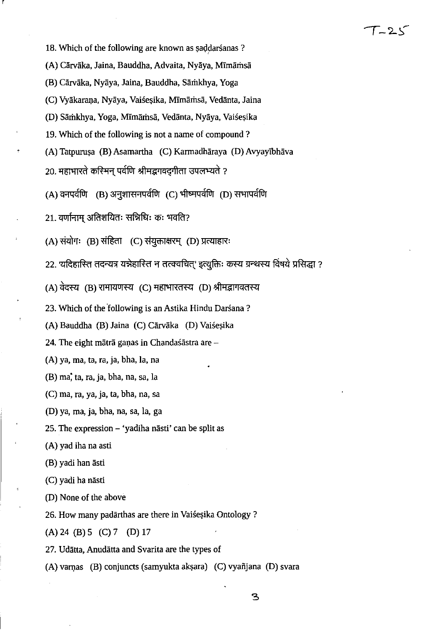18. Which of the following are known as saddarsanas ?

r

- (A) Cārvāka, Jaina, Bauddha, Advaita, Nyāya, Mīmāmsā
- (B) Carvaka, Nyaya, Jaina, Bauddha, Sarhkhya, Yoga
- (C) Vyākaraņa, Nyāya, Vaisesika, Mīmāmsā, Vedānta, Jaina
- (D) Sāmkhya, Yoga, Mīmāmsā, Vedānta, Nyāya, Vaiseșika
- 19. Which of the following is not a name of compound?
- (A) Tatpuruşa (B) Asamartha (C) Karmadhāraya (D) Avyayībhāva
- 20. महाभारते करिमन पर्वणि श्रीमद्भगवदगीता उपलभ्यते ?
- $(A)$  वनपर्वणि  $(B)$  अनुशासनपर्वणि  $(C)$  भीष्मपर्वणि  $(D)$  सभापर्वणि
- $21.$  वर्णानाम अतिशयितः सन्निधिः कः भवति?
- $(A)$  संयोगः (B) संहिता (C) संयुक्ताक्षरम् (D) प्रत्याहारः
- 22. 'यदिहास्ति तदन्यत्र यन्नेहास्ति न तत्क्वचित्' इत्युक्तिः कस्य ग्रन्थस्य विषये प्रसिद्धा ? 22. 'यदिहास्ति तदन्यत्र यन्नेहास्ति न तत्क्वचित्' इत्युक्तिः कस्य ग्रन्थ<br>(A) वेदस्य (B) रामायणस्य (C) महाभारतस्य (D) श्रीमद्भागवतस्य<br>'
- 
- 23. Which of the 'following is an Astika Hindu Darsana ?
- (A) Bauddha (B) Jaina (C) Cārvāka (D) Vaiseșika
- 24. The eight mātrā gaņas in Chandaśāstra are  $-$
- (A) ya, rna, ta, ra, ja, bha, la, na
- $(B)$  ma; ta, ra, ja, bha, na, sa, la
- $(C)$  ma, ra, ya, ja, ta, bha, na, sa
- (D) ya, rna, ja, bha, na, sa, la, ga
- 25. The expression  $-$  'yadiha nāsti' can be split as
- ( A) yad iha na asti
- (B) yadi han asti
- (C) yadi ha nasti
- (D) None of the above
- 26. How many padārthas are there in Vaisesika Ontology?
- (A) 24 (B) 5 (C) 7 (D) 17
- 27. Udatta, Anudatta and Svarita are the types of
- (A) varnas (B) conjuncts (samyukta akṣara) (C) vyañjana (D) svara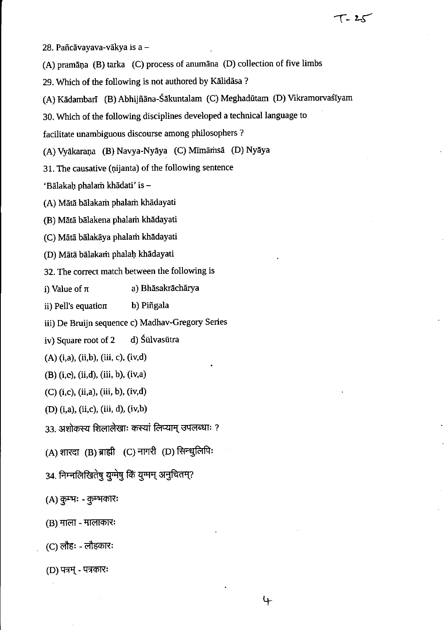28. Pañcāvayava-vākya is a -

(A) pramāņa (B) tarka (C) process of anumāna (D) collection of five limbs

29. Which of the following is not authored by Kalidasa ?

(A) Kādambarī (B) Abhijñāna-Śākuntalam (C) Meghadūtam (D) Vikramorvaśīyam

30. Which of the following disciplines developed a technical language to

facilitate unambiguous discourse among philosophers?

(A) Vyākaraņa (B) Navya-Nyāya (C) Mīmāmsā (D) Nyāya

31. The causative (nijanta) of the following sentence

'Bālakaḥ phalam khādati' is -

(A) Mātā bālakarn phalarn khādayati

(B) Mata balakena phalarh khadayati

(C) Mātā bālakāya phalarh khādayati

(D) Mata balakarh phalab. khadayati

32. The correct match between the following is

i) Value of  $\pi$  a) Bhasakracharya

ii) Pell's equation b) Piñgala

iii) De Bruijn sequence c) Madhav-Gregory Series

iv) Square root of 2 d) Sulvasutra

(A) (i,a), (ii,b), (iii, c), (iv,d)

(B) (i,e), (ii,d), (iii, b), (iv,a)

 $(C)$  (i,c), (ii,a), (iii, b), (iv,d)

(D) (i,a), (ii,c), (iii, d), (iv,b)

33. अशोकस्य शिलालेखाः कस्यां लिप्याम् उपलब्धाः ?

 $(A)$  शारदा  $(B)$  ब्राह्मी  $(C)$  नागरी  $(D)$  सिन्धुलिपि:

34. निम्नलिखितेषु युग्मेषु किं युग्मम् अनुचितम्?

 $(A)$  कुम्भः - कुम्भकारः

 $(B)$  माला - मालाकारः

(C) लौहः - लौहकारः

(D) पत्रम् - पत्रकारः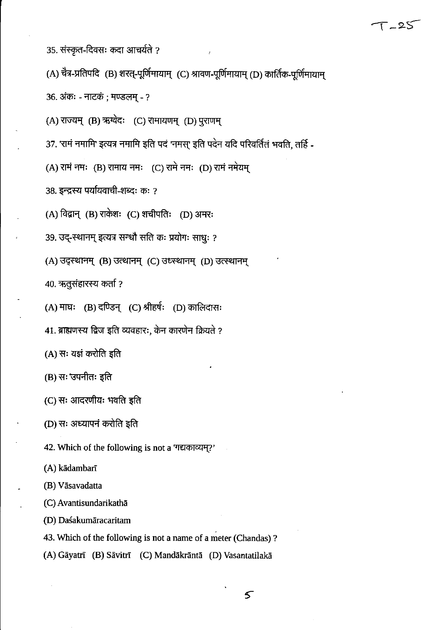35. संस्कृत-दिवसः कदा आचर्यते ?

36. अंकः - नाटकं; मण्डलम् - ?

38. इन्द्रस्य पर्यायवाची-शब्दः कः ?

(A) चैत्र-प्रतिपदि (B) शरत्-पूर्णिमायाम् (C) श्रावण-पूर्णिमायाम् (D) कार्तिक-पूर्णिमायाम्

37. 'रामं नमामि' इत्यत्र नमामि इति पदं 'नमस्' इति पदेन यदि परिवर्तितं भवति, तर्हि-

## $T - 25$

 $\mathfrak{s}$ 

42. Which of the following is not a 'गद्यकाव्यम्?'

(A) kādambarī

(B) Vāsavadatta

(C) Avantisundarikathā

(D) Daśakumāracaritam

43. Which of the following is not a name of a meter (Chandas)?

(A) Gāyatrī (B) Sāvitrī (C) Mandākrāntā (D) Vasantatilakā

(A) उद्स्थानम् (B) उत्थानम् (C) उध्स्थानम् (D) उत्स्थानम्

(A) विद्वान् (B) राकेशः (C) शचीपतिः (D) अमरः

39. उद्-स्थानम् इत्यत्र सन्धौ सति कः प्रयोगः साधुः ?

40. ऋतुसंहारस्य कर्ता ?

(A) माघः (B) दण्डिन् (C) श्रीहर्षः (D) कालिदासः

(A) राज्यम् (B) ऋग्वेदः (C) रामायणम् (D) पुराणम्

(A) रामं नमः (B) रामाय नमः (C) रामे नमः (D) रामं नमेयम्

41. ब्राह्मणस्य द्विज इति व्यवहारः, केन कारणेन क्रियते ?

(A) सः यज्ञं करोति इति

(B) सः 'उपनीतः इति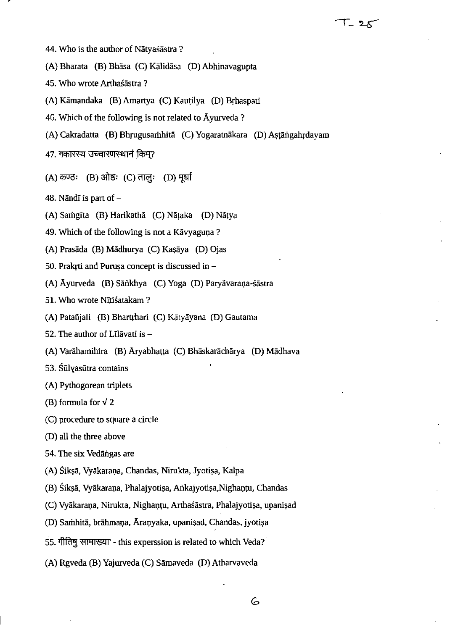- 44. Who is the author of Nātvaśāstra?
- (A) Bharata (B) Bhasa (C) Kalidasa (D) Abhinavagupta
- 45. Who wrote Arthaśāstra?
- (A) Kāmandaka (B) Amartya (C) Kautilya (D) Brhaspati
- 46. Which of the following is not related to Ayurveda ?
- (A) Cakradatta (B) Bhrugusamhitā (C) Yogaratnākara (D) Astāngahrdayam

 $T - 25$ 

- 47. गकारस्य उच्चारणस्थानं किम?
- (A) कण्ठः (B) ओष्ठः (C) तालः (D) मर्धा
- 48. Nāndī is part of  $-$
- (A) Samgīta (B) Harikathā (C) Nāṭaka (D) Nāṭya
- 49. Which of the following is not a Kāvyaguņa?
- (A) Prasāda (B) Mādhurya (C) Kaşāya (D) Ojas
- 50. Prakrti and Purușa concept is discussed in  $-$
- (A) Āyurveda (B) Sānkhya (C) Yoga (D) Paryāvarana-śāstra
- 51. Who wrote Nītiśatakam?
- (A) Patañjali (B) Bhartrhari (C) Kātyāyana (D) Gautama
- 52. The author of Līlāvati is  $-$
- (A) Varāhamihira (B) Āryabhatta (C) Bhāskarāchārya (D) Mādhava
- 53. Sūlvasūtra contains
- (A) Pythogorean triplets
- (B) formula for  $\sqrt{2}$
- (C) procedure to square a circle
- (0) all the three above
- 54. The six Vedāngas are
- (A) Śikṣā, Vyākaraṇa, Chandas, Nirukta, Jyotiṣa, Kalpa
- (B) Śikṣā, Vyākaraṇa, Phalajyotiṣa, Aṅkajyotiṣa,Nighaṇṭu, Chandas
- (C) Vyākaraņa, Nirukta, Nighanțu, Arthaśāstra, Phalajyotișa, upanișad
- (D) Samhitā, brāhmaņa, Āraņyaka, upanișad, Chandas, jyotișa
- 55. गीतिषु सामाख्या this experssion is related to which Veda?
- (A) Rgveda (B) Yajurveda (C) Sāmaveda (D) Atharvaveda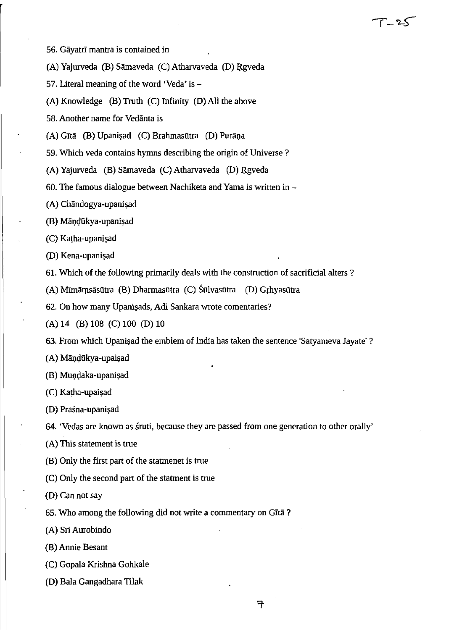- 56. GayatrI mantra is contained in
- (A) Yajurveda (B) Sāmaveda (C) Atharvaveda (D) Rgveda
- 57. Literal meaning of the word 'Veda' is-
- (A) Knowledge (B) Truth (C) Infinity (D) All the above
- 58. Another name for Vedanta is
- (A) Gītā (B) Upanișad (C) Brahmasūtra (D) Purāņa
- 59. Which veda contains hymns describing the origin of Universe?
- (A) Yajurveda (B) Sāmaveda (C) Atharvaveda (D) Rgveda
- 60. The famous dialogue between Nachiketa and Yama is written in  $-$
- (A) Chāndogya-upanişad
- (B) Māņḍūkya-upaniṣad
- (C) Katha-upanişad
- (D) Kena-upanişad
- 61. Which of the following primarily deals with the construction of sacrificial alters?

*1-'2-S-*

- (A) Mīmāmsāsutra (B) Dharmasutra (C) Sulvasutra (D) Grhyasutra
- 62. On how many Upanişads, Adi Sankara wrote comentaries?
- (A) 14 (B) 108 (C) 100 (D) 10
- 63. From which Upanisad the emblem of India has taken the sentence 'Satyameva Jayate' ?
- (A) Māņḍūkya-upaişad
- (B) Mundaka-upanişad
- (C) Katha-upaişad
- (D) Praśna-upanisad
- 64. 'Vedas are known as sruti, because they are passed from one generation to other orally'
- (A) This statement is true
- (B) Only the first part of the statrnenet is true
- (C) Only the second part of the statrnent is true
- (D) Can not say
- 65. Who among the following did not write a commentary on GIta ?
- (A) Sri Aurobindo
- (B) Annie Besant
- (C) Gopala Krishna Gohkale
- (D) Bala Gangadhara Tilak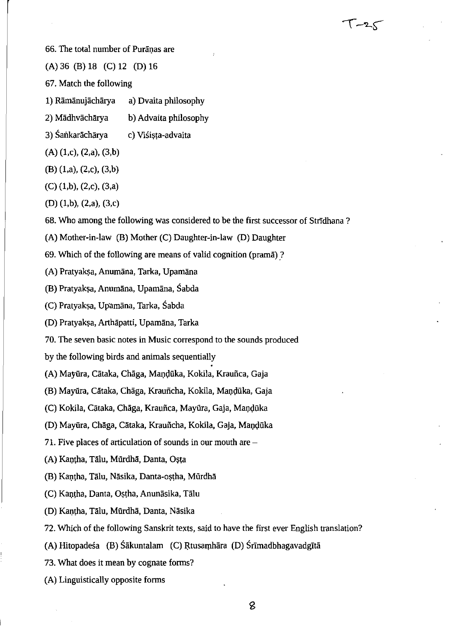66. The total number of Puranas are

(A) 36 (B) 18 (C) 12 (D) 16

67. Match the following

- 1) Ramanujacharya a) Dvaita philosophy
- 2) Madhvacharya b) Advaita philosophy
- 3) Sankarāchārya c) Viśista-advaita
- $(A)$  (1,c), (2,a), (3,b)
- (B) (l,a), (2,c), (3,b)
- (C) (l,b), (2,c), (3,a)
- (D) (l,b), (2,a), (3,c)
- 68. Who among the following was considered to be the first successor of StrIdhana ?

 $T - 25$ 

- (A) Mother-in-law (B) Mother (C) Daughter-in-law (D) Daughter
- 69. Which of the following are means of valid cognition (prama) ?
- (A) Pratyakṣa, Anumāna, Tarka, Upamāna
- (B) Pratyakṣa, Anumāna, Upamāna, Śabda
- (C) Pratyakṣa, Upamāna, Tarka, Śabda
- (D) Pratyakșa, Arthāpatti, Upamāna, Tarka
- 70. The seven basic notes in Music correspond to the sounds produced
- by the following birds and animals sequentially
- (A) Mayūra, Cātaka, Chāga, Mandūka, Kokila, Krauñca, Gaja
- (B) Mayūra, Cātaka, Chāga, Krauñcha, Kokila, Maņdūka, Gaja
- (C) Kokila, Cātaka, Chāga, Krauñca, Mayūra, Gaja, Maņdūka
- (D) Mayūra, Chāga, Cātaka, Krauñcha, Kokila, Gaja, Mandūka
- 71. Five places of articulation of sounds in our mouth are  $-$
- (A) Kantha, Tālu, Mūrdhā, Danta, Oșta
- (B) Kaṇṭha, Tālu, Nāsika, Danta-oṣṭha, Mūrdhā
- (C) Kantha, Danta, Ostha, Anunāsika, Tālu
- (D) Kantha, Tālu, Mūrdhā, Danta, Nāsika
- 72. Which of the following Sanskrit texts, said to have the first ever English translation?
- (A) Hitopadesa (B) Sākuntalam (C) Rtusamhāra (D) Srīmadbhagavadgītā
- 73. What does it mean by cognate forms?
- (A) Linguistically opposite forms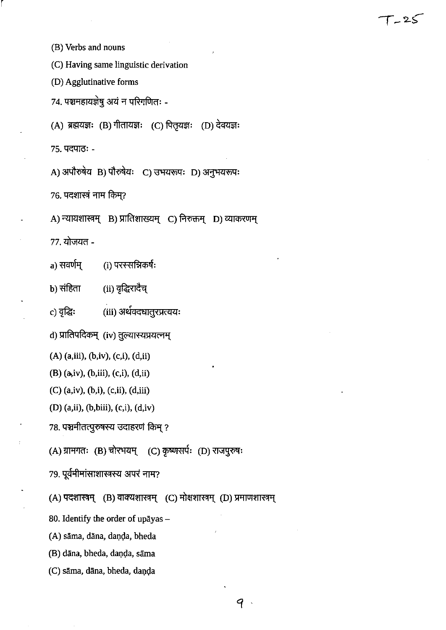(B) Verbs and nouns

r

(C) Having same linguistic derivation

(D) Agglutinative forms

74. पञ्चमहायज्ञेषु अयं न परिगणितः -

(A) ब्रह्मयज्ञः (B) गीतायज्ञः (C) पितृयज्ञः (D) देवयज्ञः

75. पदपाठः -

A) अपौरुषेय B) पौरुषेयः C) उभयरूपः D) अनुभयरूपः

 $76.$  पदशास्त्रं नाम किम?

```
A) न्यायशास्त्रम् B) प्रातिशाख्यम् C) निरुक्तम् D) व्याकरणम्
```
 $77.$  योजयत -

a) सवर्णम्  $(i)$  परस्सन्निकर्षः

 $b)$  संहिता (ii) वृद्धिरादैच्

c) वृद्धिः (iii) अर्थवदधातुरप्रत्ययः

d) प्रातिपदिकम् (iv) तुल्यास्यप्रयत्नम्

(A) (a,iii), (b,iv), (c,i), (d,ii)

(B) (a,iv), (b,iii), (c,i), (d,ii)

(C) (a,iv), (b,i), (c,ii), (d,iii)

(D) (a,ii), (b,biii), (c,i), (d,iv)

78. पञ्चमीतत्पुरुषस्य उदाहरणं किम् ?<br>(A) ग्रामगतः (B) चोरभयम् (C) कृष्णसर्पः (D) राजपुरुषः

79. पूर्वमीमांसाशास्त्रस्य अपरं नाम?

(A) पदशास्त्रम् (B) वाक्यशास्त्रम् (C) मोक्षशास्त्रम् (D) प्रमाणशास्त्रम्

80. Identify the order of upayas  $-$ 

(A) sāma, dāna, daņda, bheda

(B) dāna, bheda, daņḍa, sāma

(C) sāma, dāna, bheda, daņda

 $\mathcal{P}$ 

 $T - 25$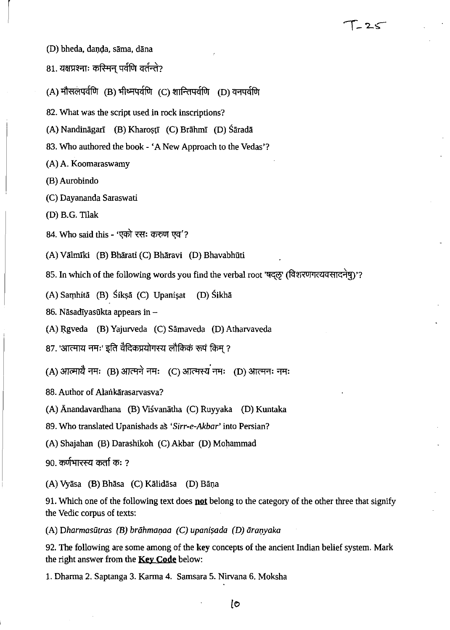- (D) bheda, danda, sāma, dāna
- 81. यक्षप्रश्नाः कस्मिन पर्वणि वर्तन्ते?
- $(A)$  मौसलपर्वणि (B) भीष्मपर्वणि (C) शान्तिपर्वणि (D) वनपर्वणि
- 82. What was the script used in rock inscriptions?
- (A) Nandināgarī (B) Kharoștī (C) Brāhmī (D) Śāradā
- 83. Who authored the book 'A New Approach to the Vedas'?
- (A) A. Koomaraswamy
- (B) Aurobindo

 $\vert$ 

- (C) Dayananda Saraswati
- (D) B.G. Tilak
- 84. Who said this 'एको रसः करुण एव'?
- (A) Valmrki (B) Bharati (C) Bharavi (D) Bhavabhiiti
- 85. In which of the following words you find the verbal root 'षदल' (विशरणगत्यवसादनेष)'?

 $T - 25$ 

- (A) Samhitā (B) Sikṣā (C) Upaniṣat (D) Sikhā
- 86. Nāsadīyasūkta appears in  $-$
- (A) Rgveda (B) Yajurveda (C) Sāmaveda (D) Atharvaveda
- 87. 'आत्माय नमः' इति वैदिकप्रयोगस्य लौकिकं रूपं किम ?
- (A) आत्मायै नमः (B) आत्मने नमः (C) आत्मस्य नमः (D) आत्मनः नमः
- 88. Author of Alankārasarvasva?
- (A) Anandavardhana (B) Visvanatha (C) Ruyyaka (D) Kuntaka
- 89. Who translated Upanishads as *'Sirr-e-Akbar'* into Persian?
- (A) Shajahan (B) Darashikoh (C) Akbar (D) Mohammad
- 90. कर्णभारस्य कर्ता क: ?
- (A) Vyāsa (B) Bhāsa (C) Kālidāsa (D) Bāņa
- 91. Which one of the following text does **not** belong to the category of the other three that signify the Vedic corpus of texts:
- (A) Dharmasūtras (B) brāhmaņaa (C) upanișada (D) āraņyaka

92. The following are some among of the key concepts of the ancient Indian belief system. Mark the right answer from the **Key Code** below:

1. Dharma 2. Saptanga 3. Karma 4. Samsara 5. Nirvana 6. Moksha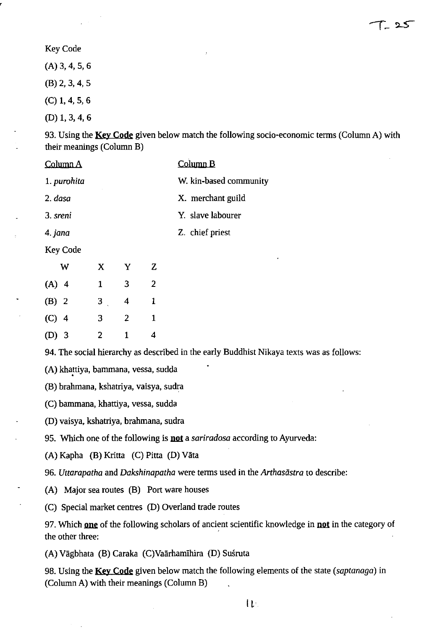T\_ 25

#### Key Code

(A) 3, 4,5,6

(B) 2, 3, 4, 5

(C) 1, 4, 5, 6

(D) 1, 3, 4,6

93. Using the **Key Code** given below match the following socio-economic terms (Column A) with their meanings (Column B)

| <u>Column A</u> |                |                         |                | <u>Column B</u>                                                                          |
|-----------------|----------------|-------------------------|----------------|------------------------------------------------------------------------------------------|
| 1. purohita     |                |                         |                | W. kin-based community                                                                   |
| 2. dasa         |                |                         |                | X. merchant guild                                                                        |
| 3. sreni        |                |                         |                | Y. slave labourer                                                                        |
| 4. jana         |                |                         |                | Z. chief priest                                                                          |
| <b>Key Code</b> |                |                         |                |                                                                                          |
| W               | $\mathbf{X}$   | $\mathbf{Y}$            | Z              | ۰                                                                                        |
| $(A)$ 4         | $\mathbf{1}$   | 3                       | $\overline{2}$ |                                                                                          |
| $(B)$ 2         | 3 <sub>1</sub> | $\overline{\mathbf{4}}$ | $\mathbf{1}$   |                                                                                          |
| $(C)$ 4         | 3              | $\overline{2}$          | $\mathbf{1}$   |                                                                                          |
| $(D)$ 3         | $\overline{2}$ | $\mathbf{1}$            | 4              |                                                                                          |
|                 |                |                         |                | 94. The social hierarchy as described in the early Buddhist Nikaya texts was as follows: |
|                 |                |                         |                |                                                                                          |

(A) khattiya, bammana, vessa, sudda

(B) brahmana, kshatriya, vaisya, sudra

(C) bammana, khattiya, vessa, sudda

(D) vaisya, kshatriya, brahmana, sudra

95. Which one of the following is **not** a *sariradosa* according to Ayurveda:

(A) Kapha (B) Kritta (C) Pitta (D) Vata

*96. Uttarapatha* and *Dakshinapatha* were terms used in the *Arthasastra* to describe:

(A) Major sea routes (B) Port ware houses

(C) Special market centres (D) Overland trade routes

97. Which one of the following scholars of ancient scientific knowledge in not in the category of the other three:

(A) Vagbhata (B) Caraka (C)Vaarhamlhira (D) Susruta

98. Using the Key Code given below match the following elements of the state *(saptanaga)* in (Column A) with their meanings (Column B)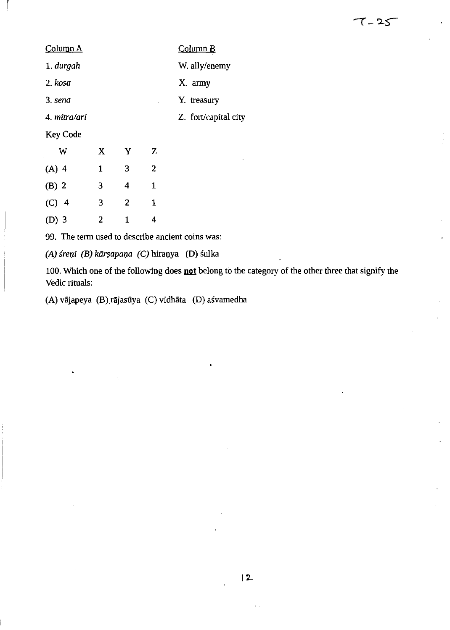|   |   |   | Column B             |
|---|---|---|----------------------|
|   |   |   | W. ally/enemy        |
|   |   |   | X. army              |
|   |   |   | Y. treasury          |
|   |   |   | Z. fort/capital city |
|   |   |   |                      |
| X | Y | Z |                      |
| 1 | 3 | 2 |                      |
|   |   |   |                      |

r

(D) 3 2 1 4

(8) 2 3 4 1

(C) 4 3 2 1

99. The term used to describe ancient coins was:

 $(A)$  śreņi  $(B)$  kārṣapaṇa  $(C)$  hiraṇya  $(D)$  śulka

100. Which one of the following does not belong to the category of the other three that signify the Vedic rituals:

 $7 - 25$ 

(A) vājapeya (B) rājasūya (C) vidhāta (D) asvamedha